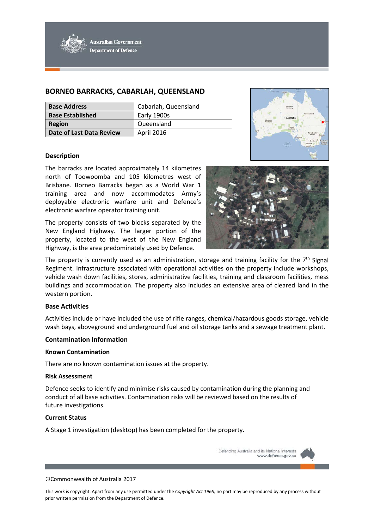

# **BORNEO BARRACKS, CABARLAH, QUEENSLAND**

| <b>Base Address</b>             | Cabarlah, Queensland |
|---------------------------------|----------------------|
| <b>Base Established</b>         | Early 1900s          |
| <b>Region</b>                   | Queensland           |
| <b>Date of Last Data Review</b> | April 2016           |



## **Description**

The barracks are located approximately 14 kilometres north of Toowoomba and 105 kilometres west of Brisbane. Borneo Barracks began as a World War 1 training area and now accommodates Army's deployable electronic warfare unit and Defence's electronic warfare operator training unit.

The property consists of two blocks separated by the New England Highway. The larger portion of the property, located to the west of the New England Highway, is the area predominately used by Defence.



The property is currently used as an administration, storage and training facility for the  $7<sup>th</sup>$  Signal Regiment. Infrastructure associated with operational activities on the property include workshops, vehicle wash down facilities, stores, administrative facilities, training and classroom facilities, mess buildings and accommodation. The property also includes an extensive area of cleared land in the western portion.

#### **Base Activities**

Activities include or have included the use of rifle ranges, chemical/hazardous goods storage, vehicle wash bays, aboveground and underground fuel and oil storage tanks and a sewage treatment plant.

## **Contamination Information**

#### **Known Contamination**

There are no known contamination issues at the property.

#### **Risk Assessment**

Defence seeks to identify and minimise risks caused by contamination during the planning and conduct of all base activities. Contamination risks will be reviewed based on the results of future investigations.

#### **Current Status**

A Stage 1 investigation (desktop) has been completed for the property.

Defending Australia and its National Interests www.defence.gov.au

#### ©Commonwealth of Australia 2017

This work is copyright. Apart from any use permitted under the *Copyright Act 1968,* no part may be reproduced by any process without prior written permission from the Department of Defence.